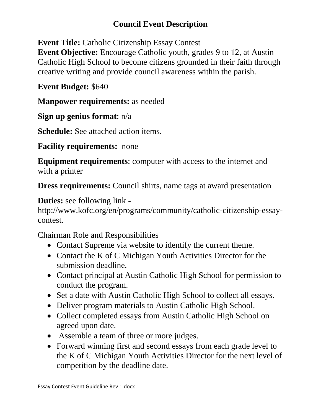# **Council Event Description**

**Event Title:** Catholic Citizenship Essay Contest

**Event Objective:** Encourage Catholic youth, grades 9 to 12, at Austin Catholic High School to become citizens grounded in their faith through creative writing and provide council awareness within the parish.

# **Event Budget:** \$640

**Manpower requirements:** as needed

**Sign up genius format**: n/a

**Schedule:** See attached action items.

**Facility requirements:** none

**Equipment requirements**: computer with access to the internet and with a printer

**Dress requirements:** Council shirts, name tags at award presentation

**Duties:** see following link -

http://www.kofc.org/en/programs/community/catholic-citizenship-essaycontest.

Chairman Role and Responsibilities

- Contact Supreme via website to identify the current theme.
- Contact the K of C Michigan Youth Activities Director for the submission deadline.
- Contact principal at Austin Catholic High School for permission to conduct the program.
- Set a date with Austin Catholic High School to collect all essays.
- Deliver program materials to Austin Catholic High School.
- Collect completed essays from Austin Catholic High School on agreed upon date.
- Assemble a team of three or more judges.
- Forward winning first and second essays from each grade level to the K of C Michigan Youth Activities Director for the next level of competition by the deadline date.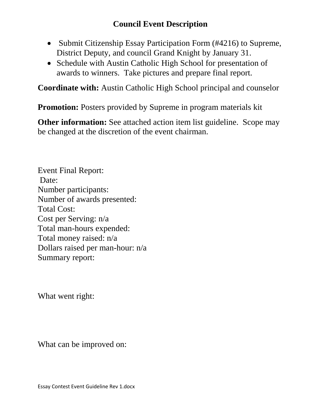### **Council Event Description**

- Submit Citizenship Essay Participation Form (#4216) to Supreme, District Deputy, and council Grand Knight by January 31.
- Schedule with Austin Catholic High School for presentation of awards to winners. Take pictures and prepare final report.

**Coordinate with:** Austin Catholic High School principal and counselor

**Promotion:** Posters provided by Supreme in program materials kit

**Other information:** See attached action item list guideline. Scope may be changed at the discretion of the event chairman.

Event Final Report: Date: Number participants: Number of awards presented: Total Cost: Cost per Serving: n/a Total man-hours expended: Total money raised: n/a Dollars raised per man-hour: n/a Summary report:

What went right:

What can be improved on: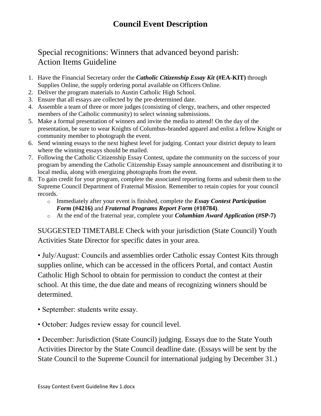### Special recognitions: Winners that advanced beyond parish: Action Items Guideline

- 1. Have the Financial Secretary order the *[Catholic Citizenship Essay Kit](https://www.kofc.org/un/applicationportal/AuthorizeUser.action)* **(#EA-KIT)** through Supplies Online, the supply ordering portal available on Officers Online.
- 2. Deliver the program materials to Austin Catholic High School.
- 3. Ensure that all essays are collected by the pre-determined date.
- 4. Assemble a team of three or more judges (consisting of clergy, teachers, and other respected members of the Catholic community) to select winning submissions.
- 5. Make a formal presentation of winners and invite the media to attend! On the day of the presentation, be sure to wear Knights of Columbus-branded apparel and enlist a fellow Knight or community member to photograph the event.
- 6. Send winning essays to the next highest level for judging. Contact your district deputy to learn where the winning essays should be mailed.
- 7. Following the Catholic Citizenship Essay Contest, update the community on the success of your program by amending the Catholic Citizenship Essay sample announcement and distributing it to local media, along with energizing photographs from the event.
- 8. To gain credit for your program, complete the associated reporting forms and submit them to the Supreme Council Department of Fraternal Mission. Remember to retain copies for your council records.
	- o Immediately after your event is finished, complete the *[Essay Contest Participation](http://www.kofc.org/un/en/resources/programs/catholic-citizenship-essay-contest/4216-essay-contest-participation-form.pdf)  Form* **[\(#4216\)](http://www.kofc.org/un/en/resources/programs/catholic-citizenship-essay-contest/4216-essay-contest-participation-form.pdf)** and *[Fraternal Programs Report Form](http://www.kofc.org/un/en/resources/programs/10784-fraternal-programs-report-form.pdf)* **(#10784)**.
	- o At the end of the fraternal year, complete your *[Columbian Award Application](http://www.kofc.org/un/en/forms/council/columbian_awardap_p.pdf)* **(#SP-7)**

SUGGESTED TIMETABLE Check with your jurisdiction (State Council) Youth Activities State Director for specific dates in your area.

• July/August: Councils and assemblies order Catholic essay Contest Kits through supplies online, which can be accessed in the officers Portal, and contact Austin Catholic High School to obtain for permission to conduct the contest at their school. At this time, the due date and means of recognizing winners should be determined.

- September: students write essay.
- October: Judges review essay for council level.

• December: Jurisdiction (State Council) judging. Essays due to the State Youth Activities Director by the State Council deadline date. (Essays will be sent by the State Council to the Supreme Council for international judging by December 31.)